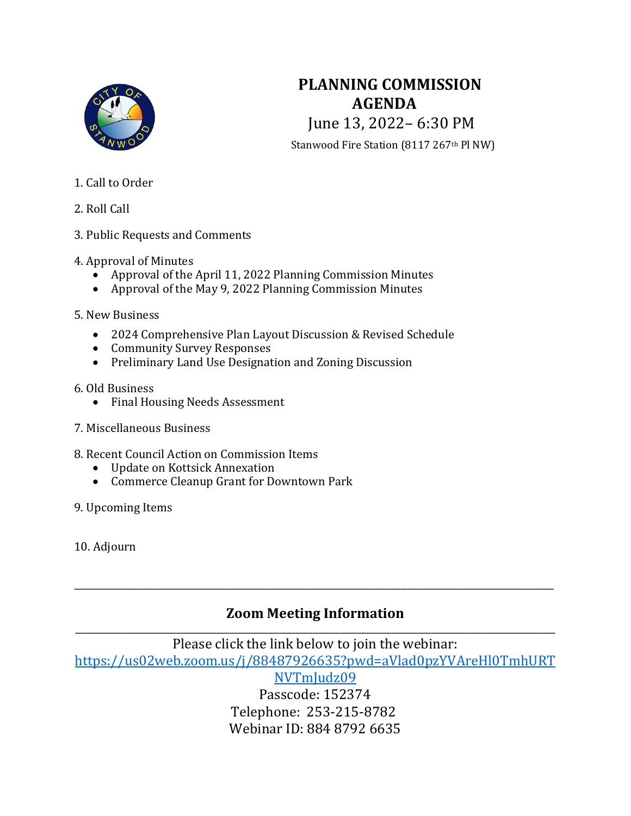

# **PLANNING COMMISSION AGENDA** June 13, 2022– 6:30 PM Stanwood Fire Station (8117 267<sup>th</sup> Pl NW)

- 1. Call to Order
- 2. Roll Call
- 3. Public Requests and Comments
- 4. Approval of Minutes
	- Approval of the April 11, 2022 Planning Commission Minutes
	- Approval of the May 9, 2022 Planning Commission Minutes
- 5. New Business
	- 2024 Comprehensive Plan Layout Discussion & Revised Schedule
	- Community Survey Responses
	- Preliminary Land Use Designation and Zoning Discussion
- 6. Old Business
	- Final Housing Needs Assessment
- 7. Miscellaneous Business
- 8. Recent Council Action on Commission Items
	- Update on Kottsick Annexation
	- Commerce Cleanup Grant for Downtown Park
- 9. Upcoming Items

10. Adjourn

## **Zoom Meeting Information** \_\_\_\_\_\_\_\_\_\_\_\_\_\_\_\_\_\_\_\_\_\_\_\_\_\_\_\_\_\_\_\_\_\_\_\_\_\_\_\_\_\_\_\_\_\_\_\_\_\_\_\_\_\_\_\_\_\_\_\_\_\_\_\_\_\_\_\_\_\_\_\_\_\_\_\_\_\_\_\_\_\_\_\_\_

\_\_\_\_\_\_\_\_\_\_\_\_\_\_\_\_\_\_\_\_\_\_\_\_\_\_\_\_\_\_\_\_\_\_\_\_\_\_\_\_\_\_\_\_\_\_\_\_\_\_\_\_\_\_\_\_\_\_\_\_\_\_\_\_\_\_\_\_\_\_\_\_\_\_\_\_\_\_\_\_\_\_\_\_\_

Please click the link below to join the webinar: [https://us02web.zoom.us/j/88487926635?pwd=aVlad0pzYVAreHl0TmhURT](https://us02web.zoom.us/j/88487926635?pwd=aVlad0pzYVAreHl0TmhURTNVTmJudz09) NVTmJudz09 Passcode: 152374

Telephone: 253-215-8782 Webinar ID: 884 8792 6635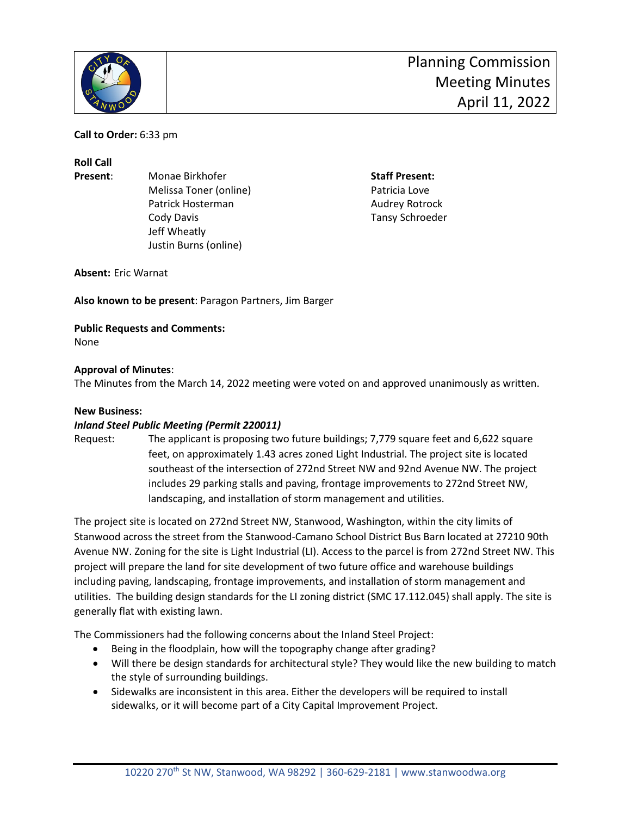

**Call to Order:** 6:33 pm

**Roll Call**

**Present:** Monae Birkhofer **Staff Present:** Monae Birkhofer **Staff Present:** Melissa Toner (online) and the Controller Patricia Love Patrick Hosterman **Audrey Rotrock Audrey Rotrock** Cody Davis Tansy Schroeder Jeff Wheatly Justin Burns (online)

**Absent:** Eric Warnat

**Also known to be present**: Paragon Partners, Jim Barger

**Public Requests and Comments:** None

#### **Approval of Minutes**:

The Minutes from the March 14, 2022 meeting were voted on and approved unanimously as written.

#### **New Business:**

#### *Inland Steel Public Meeting (Permit 220011)*

Request: The applicant is proposing two future buildings; 7,779 square feet and 6,622 square feet, on approximately 1.43 acres zoned Light Industrial. The project site is located southeast of the intersection of 272nd Street NW and 92nd Avenue NW. The project includes 29 parking stalls and paving, frontage improvements to 272nd Street NW, landscaping, and installation of storm management and utilities.

The project site is located on 272nd Street NW, Stanwood, Washington, within the city limits of Stanwood across the street from the Stanwood-Camano School District Bus Barn located at 27210 90th Avenue NW. Zoning for the site is Light Industrial (LI). Access to the parcel is from 272nd Street NW. This project will prepare the land for site development of two future office and warehouse buildings including paving, landscaping, frontage improvements, and installation of storm management and utilities. The building design standards for the LI zoning district (SMC 17.112.045) shall apply. The site is generally flat with existing lawn.

The Commissioners had the following concerns about the Inland Steel Project:

- Being in the floodplain, how will the topography change after grading?
- Will there be design standards for architectural style? They would like the new building to match the style of surrounding buildings.
- Sidewalks are inconsistent in this area. Either the developers will be required to install sidewalks, or it will become part of a City Capital Improvement Project.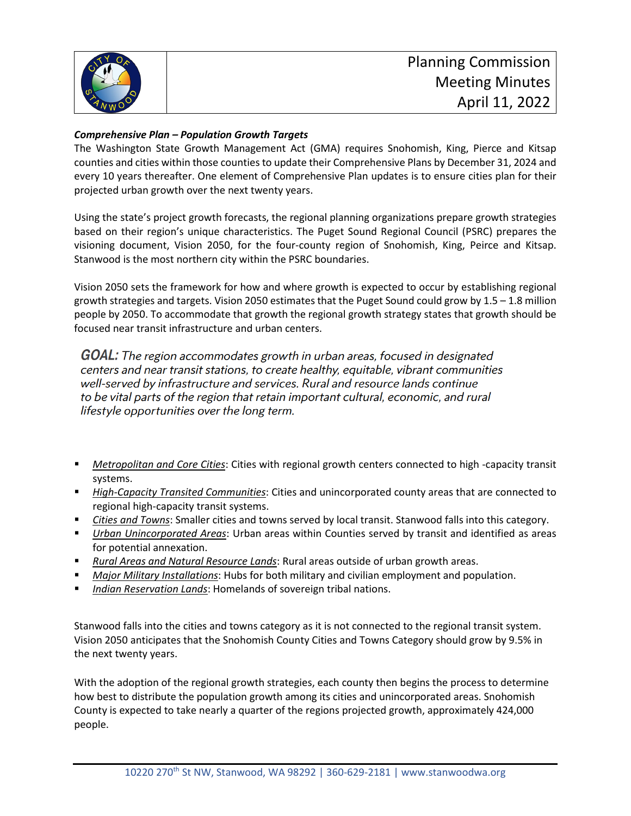

### *Comprehensive Plan – Population Growth Targets*

The Washington State Growth Management Act (GMA) requires Snohomish, King, Pierce and Kitsap counties and cities within those counties to update their Comprehensive Plans by December 31, 2024 and every 10 years thereafter. One element of Comprehensive Plan updates is to ensure cities plan for their projected urban growth over the next twenty years.

Using the state's project growth forecasts, the regional planning organizations prepare growth strategies based on their region's unique characteristics. The Puget Sound Regional Council (PSRC) prepares the visioning document, Vision 2050, for the four-county region of Snohomish, King, Peirce and Kitsap. Stanwood is the most northern city within the PSRC boundaries.

Vision 2050 sets the framework for how and where growth is expected to occur by establishing regional growth strategies and targets. Vision 2050 estimates that the Puget Sound could grow by 1.5 – 1.8 million people by 2050. To accommodate that growth the regional growth strategy states that growth should be focused near transit infrastructure and urban centers.

**GOAL:** The region accommodates growth in urban areas, focused in designated centers and near transit stations, to create healthy, equitable, vibrant communities well-served by infrastructure and services. Rural and resource lands continue to be vital parts of the region that retain important cultural, economic, and rural lifestyle opportunities over the long term.

- *Metropolitan and Core Cities*: Cities with regional growth centers connected to high -capacity transit systems.
- *High-Capacity Transited Communities*: Cities and unincorporated county areas that are connected to regional high-capacity transit systems.
- *Cities and Towns*: Smaller cities and towns served by local transit. Stanwood falls into this category.
- *Urban Unincorporated Areas*: Urban areas within Counties served by transit and identified as areas for potential annexation.
- *Rural Areas and Natural Resource Lands*: Rural areas outside of urban growth areas.
- *Major Military Installations*: Hubs for both military and civilian employment and population.
- *Indian Reservation Lands*: Homelands of sovereign tribal nations.

Stanwood falls into the cities and towns category as it is not connected to the regional transit system. Vision 2050 anticipates that the Snohomish County Cities and Towns Category should grow by 9.5% in the next twenty years.

With the adoption of the regional growth strategies, each county then begins the process to determine how best to distribute the population growth among its cities and unincorporated areas. Snohomish County is expected to take nearly a quarter of the regions projected growth, approximately 424,000 people.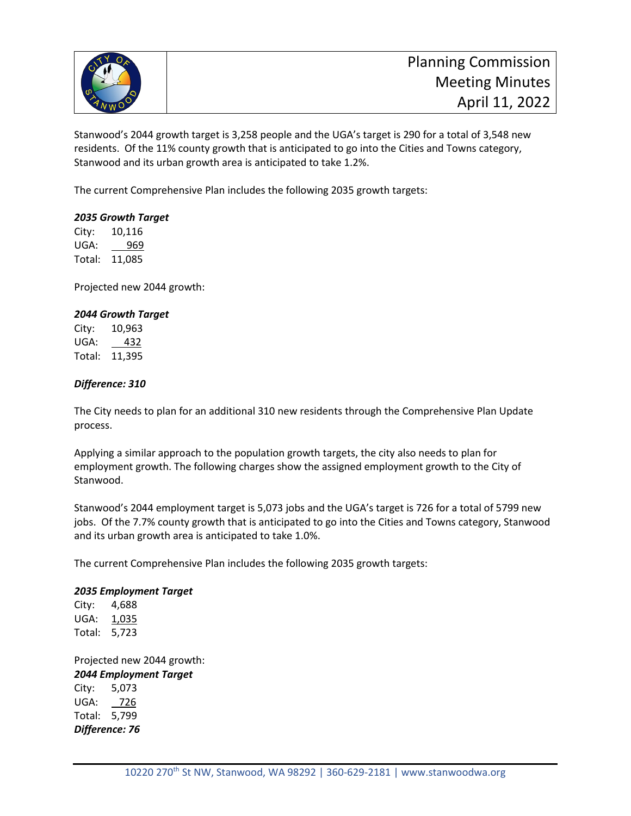

Stanwood's 2044 growth target is 3,258 people and the UGA's target is 290 for a total of 3,548 new residents. Of the 11% county growth that is anticipated to go into the Cities and Towns category, Stanwood and its urban growth area is anticipated to take 1.2%.

The current Comprehensive Plan includes the following 2035 growth targets:

#### *2035 Growth Target*

City: 10,116 UGA: 969 Total: 11,085

Projected new 2044 growth:

#### *2044 Growth Target*

City: 10,963 UGA: \_ 432 Total: 11,395

#### *Difference: 310*

The City needs to plan for an additional 310 new residents through the Comprehensive Plan Update process.

Applying a similar approach to the population growth targets, the city also needs to plan for employment growth. The following charges show the assigned employment growth to the City of Stanwood.

Stanwood's 2044 employment target is 5,073 jobs and the UGA's target is 726 for a total of 5799 new jobs. Of the 7.7% county growth that is anticipated to go into the Cities and Towns category, Stanwood and its urban growth area is anticipated to take 1.0%.

The current Comprehensive Plan includes the following 2035 growth targets:

#### *2035 Employment Target*

City: 4,688 UGA: 1,035 Total: 5,723

Projected new 2044 growth: *2044 Employment Target* City: 5,073 UGA: 726 Total: 5,799 *Difference: 76*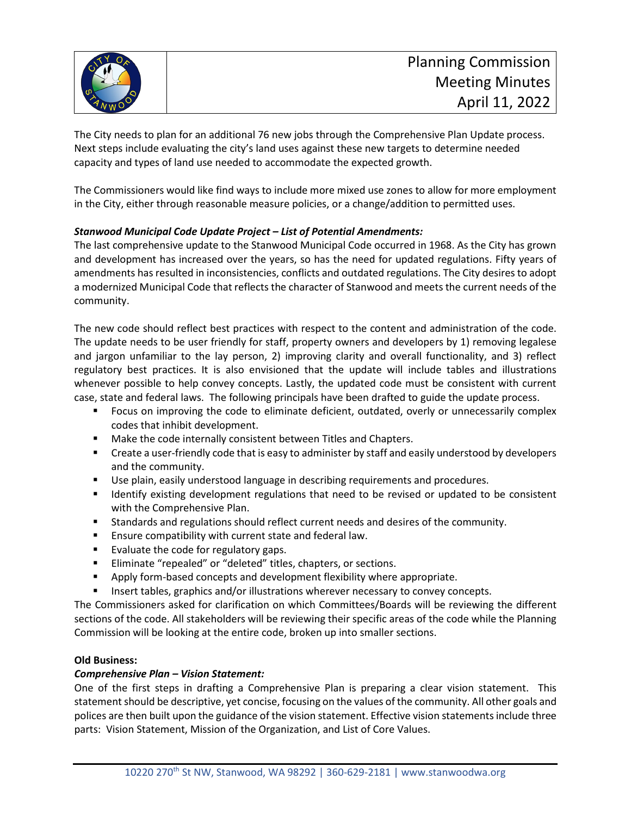

The City needs to plan for an additional 76 new jobs through the Comprehensive Plan Update process. Next steps include evaluating the city's land uses against these new targets to determine needed capacity and types of land use needed to accommodate the expected growth.

The Commissioners would like find ways to include more mixed use zones to allow for more employment in the City, either through reasonable measure policies, or a change/addition to permitted uses.

#### *Stanwood Municipal Code Update Project – List of Potential Amendments:*

The last comprehensive update to the Stanwood Municipal Code occurred in 1968. As the City has grown and development has increased over the years, so has the need for updated regulations. Fifty years of amendments has resulted in inconsistencies, conflicts and outdated regulations. The City desires to adopt a modernized Municipal Code that reflects the character of Stanwood and meets the current needs of the community.

The new code should reflect best practices with respect to the content and administration of the code. The update needs to be user friendly for staff, property owners and developers by 1) removing legalese and jargon unfamiliar to the lay person, 2) improving clarity and overall functionality, and 3) reflect regulatory best practices. It is also envisioned that the update will include tables and illustrations whenever possible to help convey concepts. Lastly, the updated code must be consistent with current case, state and federal laws. The following principals have been drafted to guide the update process.

- Focus on improving the code to eliminate deficient, outdated, overly or unnecessarily complex codes that inhibit development.
- **Make the code internally consistent between Titles and Chapters.**
- **EXECT** Create a user-friendly code that is easy to administer by staff and easily understood by developers and the community.
- Use plain, easily understood language in describing requirements and procedures.
- **If I**dentify existing development regulations that need to be revised or updated to be consistent with the Comprehensive Plan.
- Standards and regulations should reflect current needs and desires of the community.
- **E** Ensure compatibility with current state and federal law.
- Evaluate the code for regulatory gaps.
- **Eliminate "repealed" or "deleted" titles, chapters, or sections.**
- **Apply form-based concepts and development flexibility where appropriate.**
- **Insert tables, graphics and/or illustrations wherever necessary to convey concepts.**

The Commissioners asked for clarification on which Committees/Boards will be reviewing the different sections of the code. All stakeholders will be reviewing their specific areas of the code while the Planning Commission will be looking at the entire code, broken up into smaller sections.

#### **Old Business:**

#### *Comprehensive Plan – Vision Statement:*

One of the first steps in drafting a Comprehensive Plan is preparing a clear vision statement. This statement should be descriptive, yet concise, focusing on the values of the community. All other goals and polices are then built upon the guidance of the vision statement. Effective vision statements include three parts: Vision Statement, Mission of the Organization, and List of Core Values.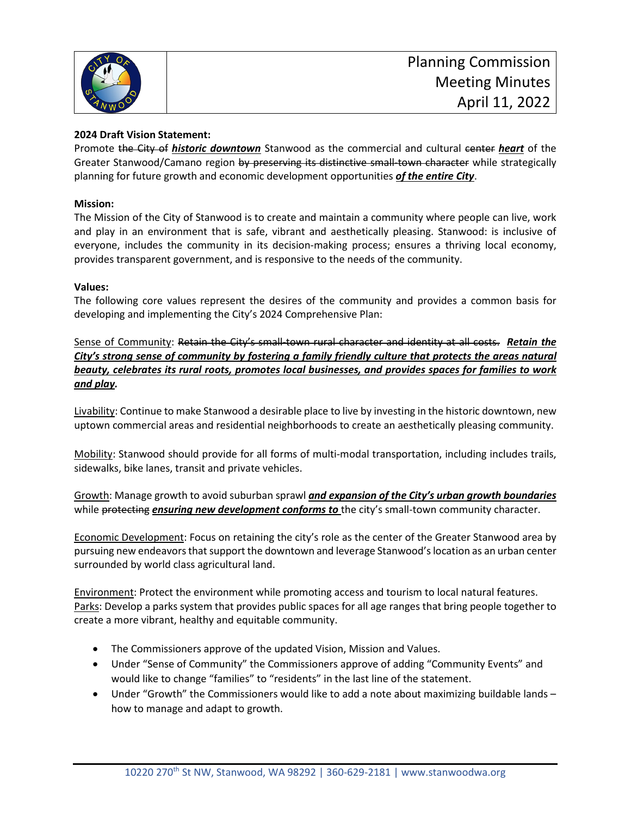

### **2024 Draft Vision Statement:**

Promote the City of *historic downtown* Stanwood as the commercial and cultural center *heart* of the Greater Stanwood/Camano region by preserving its distinctive small town character while strategically planning for future growth and economic development opportunities *of the entire City*.

#### **Mission:**

The Mission of the City of Stanwood is to create and maintain a community where people can live, work and play in an environment that is safe, vibrant and aesthetically pleasing. Stanwood: is inclusive of everyone, includes the community in its decision-making process; ensures a thriving local economy, provides transparent government, and is responsive to the needs of the community.

#### **Values:**

The following core values represent the desires of the community and provides a common basis for developing and implementing the City's 2024 Comprehensive Plan:

Sense of Community: Retain the City's small-town rural character and identity at all costs. *Retain the City's strong sense of community by fostering a family friendly culture that protects the areas natural beauty, celebrates its rural roots, promotes local businesses, and provides spaces for families to work and play.*

Livability: Continue to make Stanwood a desirable place to live by investing in the historic downtown, new uptown commercial areas and residential neighborhoods to create an aesthetically pleasing community.

Mobility: Stanwood should provide for all forms of multi-modal transportation, including includes trails, sidewalks, bike lanes, transit and private vehicles.

Growth: Manage growth to avoid suburban sprawl *and expansion of the City's urban growth boundaries* while protecting *ensuring new development conforms to* the city's small-town community character.

Economic Development: Focus on retaining the city's role as the center of the Greater Stanwood area by pursuing new endeavors that support the downtown and leverage Stanwood's location as an urban center surrounded by world class agricultural land.

Environment: Protect the environment while promoting access and tourism to local natural features. Parks: Develop a parks system that provides public spaces for all age ranges that bring people together to create a more vibrant, healthy and equitable community.

- The Commissioners approve of the updated Vision, Mission and Values.
- Under "Sense of Community" the Commissioners approve of adding "Community Events" and would like to change "families" to "residents" in the last line of the statement.
- Under "Growth" the Commissioners would like to add a note about maximizing buildable lands how to manage and adapt to growth.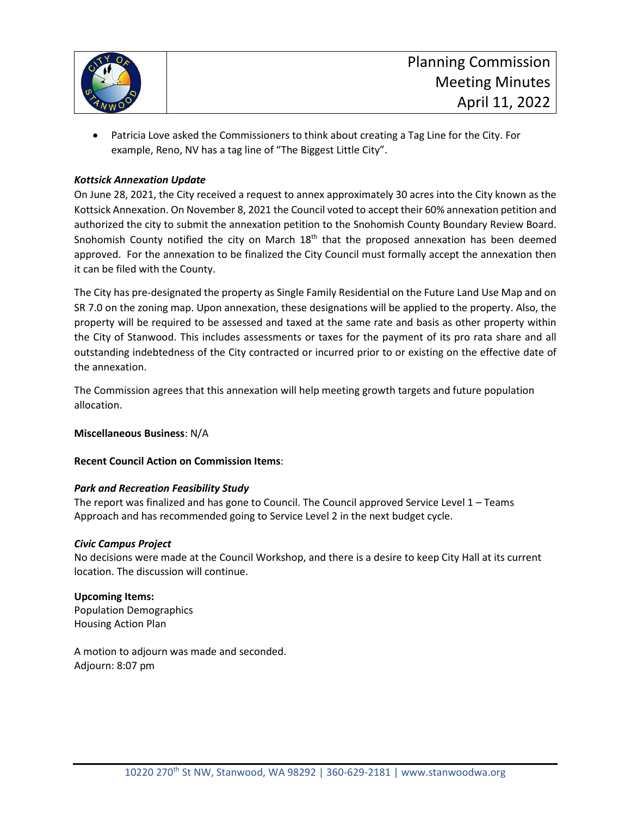

• Patricia Love asked the Commissioners to think about creating a Tag Line for the City. For example, Reno, NV has a tag line of "The Biggest Little City".

#### *Kottsick Annexation Update*

On June 28, 2021, the City received a request to annex approximately 30 acres into the City known as the Kottsick Annexation. On November 8, 2021 the Council voted to accept their 60% annexation petition and authorized the city to submit the annexation petition to the Snohomish County Boundary Review Board. Snohomish County notified the city on March 18<sup>th</sup> that the proposed annexation has been deemed approved. For the annexation to be finalized the City Council must formally accept the annexation then it can be filed with the County.

The City has pre-designated the property as Single Family Residential on the Future Land Use Map and on SR 7.0 on the zoning map. Upon annexation, these designations will be applied to the property. Also, the property will be required to be assessed and taxed at the same rate and basis as other property within the City of Stanwood. This includes assessments or taxes for the payment of its pro rata share and all outstanding indebtedness of the City contracted or incurred prior to or existing on the effective date of the annexation.

The Commission agrees that this annexation will help meeting growth targets and future population allocation.

#### **Miscellaneous Business**: N/A

#### **Recent Council Action on Commission Items**:

#### *Park and Recreation Feasibility Study*

The report was finalized and has gone to Council. The Council approved Service Level 1 – Teams Approach and has recommended going to Service Level 2 in the next budget cycle.

#### *Civic Campus Project*

No decisions were made at the Council Workshop, and there is a desire to keep City Hall at its current location. The discussion will continue.

#### **Upcoming Items:**

Population Demographics Housing Action Plan

A motion to adjourn was made and seconded. Adjourn: 8:07 pm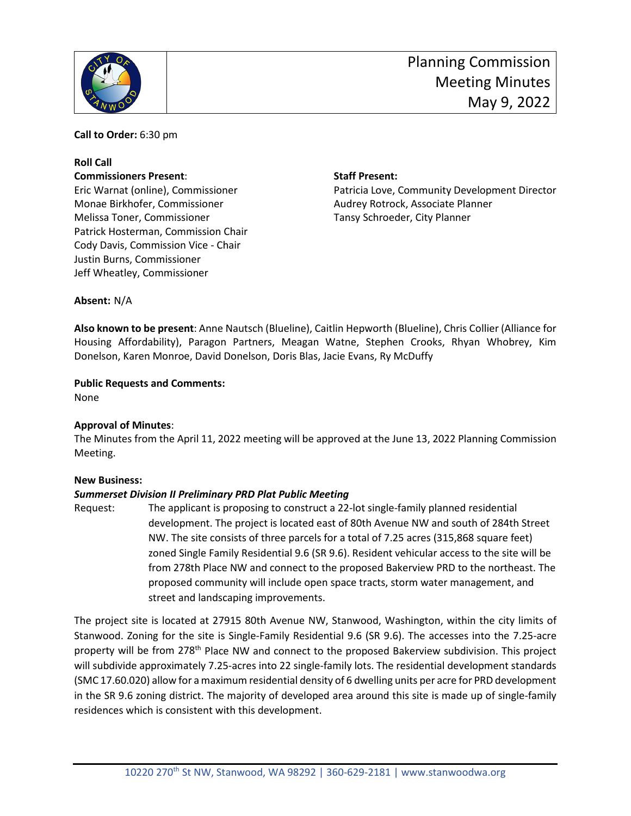

**Call to Order:** 6:30 pm

#### **Roll Call Commissioners Present**: **Staff Present:**

Monae Birkhofer, Commissioner Audrey Rotrock, Associate Planner Melissa Toner, Commissioner Tansy Schroeder, City Planner Patrick Hosterman, Commission Chair Cody Davis, Commission Vice - Chair Justin Burns, Commissioner Jeff Wheatley, Commissioner

Eric Warnat (online), Commissioner Patricia Love, Community Development Director

**Absent:** N/A

**Also known to be present**: Anne Nautsch (Blueline), Caitlin Hepworth (Blueline), Chris Collier (Alliance for Housing Affordability), Paragon Partners, Meagan Watne, Stephen Crooks, Rhyan Whobrey, Kim Donelson, Karen Monroe, David Donelson, Doris Blas, Jacie Evans, Ry McDuffy

**Public Requests and Comments:**

None

#### **Approval of Minutes**:

The Minutes from the April 11, 2022 meeting will be approved at the June 13, 2022 Planning Commission Meeting.

#### **New Business:**

#### *Summerset Division II Preliminary PRD Plat Public Meeting*

Request: The applicant is proposing to construct a 22-lot single-family planned residential development. The project is located east of 80th Avenue NW and south of 284th Street NW. The site consists of three parcels for a total of 7.25 acres (315,868 square feet) zoned Single Family Residential 9.6 (SR 9.6). Resident vehicular access to the site will be from 278th Place NW and connect to the proposed Bakerview PRD to the northeast. The proposed community will include open space tracts, storm water management, and street and landscaping improvements.

The project site is located at 27915 80th Avenue NW, Stanwood, Washington, within the city limits of Stanwood. Zoning for the site is Single-Family Residential 9.6 (SR 9.6). The accesses into the 7.25-acre property will be from 278<sup>th</sup> Place NW and connect to the proposed Bakerview subdivision. This project will subdivide approximately 7.25-acres into 22 single-family lots. The residential development standards (SMC 17.60.020) allow for a maximum residential density of 6 dwelling units per acre for PRD development in the SR 9.6 zoning district. The majority of developed area around this site is made up of single-family residences which is consistent with this development.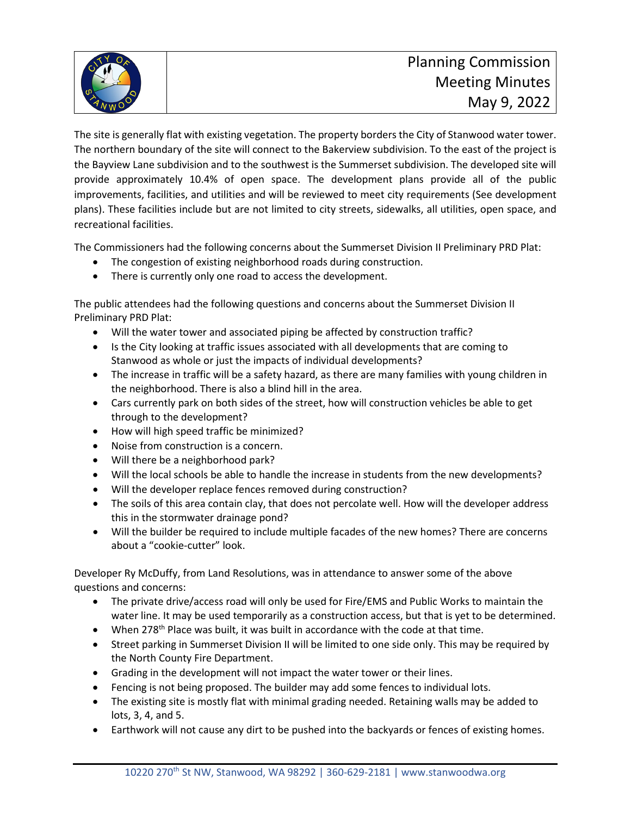

The site is generally flat with existing vegetation. The property borders the City of Stanwood water tower. The northern boundary of the site will connect to the Bakerview subdivision. To the east of the project is the Bayview Lane subdivision and to the southwest is the Summerset subdivision. The developed site will provide approximately 10.4% of open space. The development plans provide all of the public improvements, facilities, and utilities and will be reviewed to meet city requirements (See development plans). These facilities include but are not limited to city streets, sidewalks, all utilities, open space, and recreational facilities.

The Commissioners had the following concerns about the Summerset Division II Preliminary PRD Plat:

- The congestion of existing neighborhood roads during construction.
- There is currently only one road to access the development.

The public attendees had the following questions and concerns about the Summerset Division II Preliminary PRD Plat:

- Will the water tower and associated piping be affected by construction traffic?
- Is the City looking at traffic issues associated with all developments that are coming to Stanwood as whole or just the impacts of individual developments?
- The increase in traffic will be a safety hazard, as there are many families with young children in the neighborhood. There is also a blind hill in the area.
- Cars currently park on both sides of the street, how will construction vehicles be able to get through to the development?
- How will high speed traffic be minimized?
- Noise from construction is a concern.
- Will there be a neighborhood park?
- Will the local schools be able to handle the increase in students from the new developments?
- Will the developer replace fences removed during construction?
- The soils of this area contain clay, that does not percolate well. How will the developer address this in the stormwater drainage pond?
- Will the builder be required to include multiple facades of the new homes? There are concerns about a "cookie-cutter" look.

Developer Ry McDuffy, from Land Resolutions, was in attendance to answer some of the above questions and concerns:

- The private drive/access road will only be used for Fire/EMS and Public Works to maintain the water line. It may be used temporarily as a construction access, but that is yet to be determined.
- When 278<sup>th</sup> Place was built, it was built in accordance with the code at that time.
- Street parking in Summerset Division II will be limited to one side only. This may be required by the North County Fire Department.
- Grading in the development will not impact the water tower or their lines.
- Fencing is not being proposed. The builder may add some fences to individual lots.
- The existing site is mostly flat with minimal grading needed. Retaining walls may be added to lots, 3, 4, and 5.
- Earthwork will not cause any dirt to be pushed into the backyards or fences of existing homes.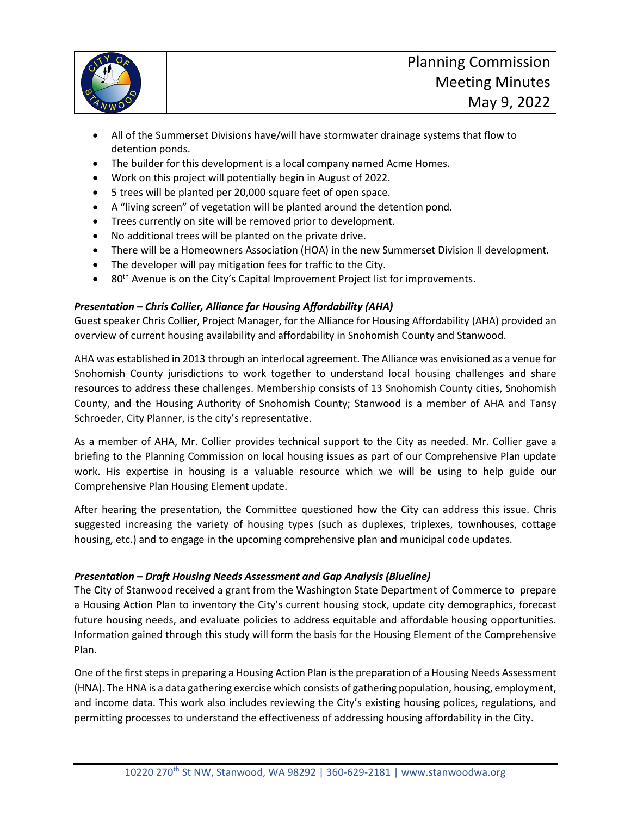

- All of the Summerset Divisions have/will have stormwater drainage systems that flow to detention ponds.
- The builder for this development is a local company named Acme Homes.
- Work on this project will potentially begin in August of 2022.
- 5 trees will be planted per 20,000 square feet of open space.
- A "living screen" of vegetation will be planted around the detention pond.
- Trees currently on site will be removed prior to development.
- No additional trees will be planted on the private drive.
- There will be a Homeowners Association (HOA) in the new Summerset Division II development.
- The developer will pay mitigation fees for traffic to the City.
- $\bullet$  80<sup>th</sup> Avenue is on the City's Capital Improvement Project list for improvements.

#### *Presentation – Chris Collier, Alliance for Housing Affordability (AHA)*

Guest speaker Chris Collier, Project Manager, for the Alliance for Housing Affordability (AHA) provided an overview of current housing availability and affordability in Snohomish County and Stanwood.

AHA was established in 2013 through an interlocal agreement. The Alliance was envisioned as a venue for Snohomish County jurisdictions to work together to understand local housing challenges and share resources to address these challenges. Membership consists of 13 Snohomish County cities, Snohomish County, and the Housing Authority of Snohomish County; Stanwood is a member of AHA and Tansy Schroeder, City Planner, is the city's representative.

As a member of AHA, Mr. Collier provides technical support to the City as needed. Mr. Collier gave a briefing to the Planning Commission on local housing issues as part of our Comprehensive Plan update work. His expertise in housing is a valuable resource which we will be using to help guide our Comprehensive Plan Housing Element update.

After hearing the presentation, the Committee questioned how the City can address this issue. Chris suggested increasing the variety of housing types (such as duplexes, triplexes, townhouses, cottage housing, etc.) and to engage in the upcoming comprehensive plan and municipal code updates.

#### *Presentation – Draft Housing Needs Assessment and Gap Analysis (Blueline)*

The City of Stanwood received a grant from the Washington State Department of Commerce to prepare a Housing Action Plan to inventory the City's current housing stock, update city demographics, forecast future housing needs, and evaluate policies to address equitable and affordable housing opportunities. Information gained through this study will form the basis for the Housing Element of the Comprehensive Plan.

One of the first stepsin preparing a Housing Action Plan is the preparation of a Housing Needs Assessment (HNA). The HNA is a data gathering exercise which consists of gathering population, housing, employment, and income data. This work also includes reviewing the City's existing housing polices, regulations, and permitting processes to understand the effectiveness of addressing housing affordability in the City.